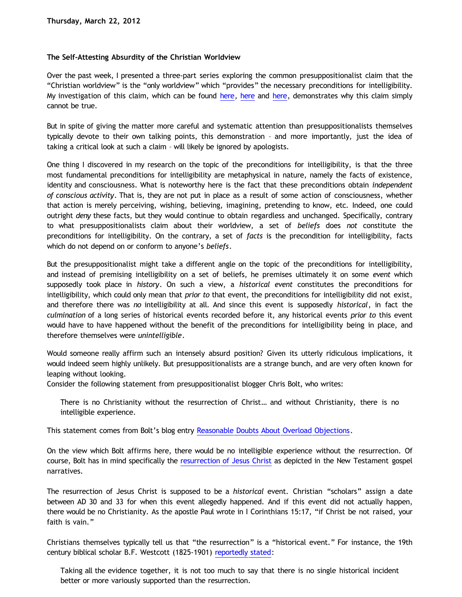## **The Self-Attesting Absurdity of the Christian Worldview**

Over the past week, I presented a three-part series exploring the common presuppositionalist claim that the "Christian worldview" is the "only worldview" which "provides" the necessary preconditions for intelligibility. My investigation of this claim, which can be found [here](http://bahnsenburner.blogspot.com/2012/03/can-worldview-provide-preconditions-of_20.html), here and here, demonstrates why this claim simply cannot be true.

But in spite of giving the matter more careful and systematic attention than presuppositionalists themselves typically devote to their own talking points, this demonstration – and more importantly, just the idea of taking a critical look at such a claim – will likely be ignored by apologists.

One thing I discovered in my research on the topic of the preconditions for intelligibility, is that the three most fundamental preconditions for intelligibility are metaphysical in nature, namely the facts of existence, identity and consciousness. What is noteworthy here is the fact that these preconditions obtain *independent of conscious activity*. That is, they are not put in place as a result of some action of consciousness, whether that action is merely perceiving, wishing, believing, imagining, pretending to know, etc. Indeed, one could outright *deny* these facts, but they would continue to obtain regardless and unchanged. Specifically, contrary to what presuppositionalists claim about their worldview, a set of *beliefs* does *not* constitute the preconditions for intelligibility. On the contrary, a set of *facts* is the precondition for intelligibility, facts which do not depend on or conform to anyone's *beliefs*.

But the presuppositionalist might take a different angle on the topic of the preconditions for intelligibility, and instead of premising intelligibility on a set of beliefs, he premises ultimately it on some *event* which supposedly took place in *history*. On such a view, a *historical event* constitutes the preconditions for intelligibility, which could only mean that *prior to* that event, the preconditions for intelligibility did not exist, and therefore there was *no* intelligibility at all. And since this event is supposedly *historical*, in fact the *culmination* of a long series of historical events recorded before it, any historical events *prior to* this event would have to have happened without the benefit of the preconditions for intelligibility being in place, and therefore themselves were *unintelligible*.

Would someone really affirm such an intensely absurd position? Given its utterly ridiculous implications, it would indeed seem highly unlikely. But presuppositionalists are a strange bunch, and are very often known for leaping without looking.

Consider the following statement from presuppositionalist blogger Chris Bolt, who writes:

There is no Christianity without the resurrection of Christ… and without Christianity, there is no intelligible experience.

This statement comes from Bolt's blog entry [Reasonable Doubts About Overload Objections](http://www.choosinghats.com/2012/02/reasonable-doubts-about-overload-objections/).

On the view which Bolt affirms here, there would be no intelligible experience without the resurrection. Of course, Bolt has in mind specifically the [resurrection of Jesus Christ](http://bahnsenburner.blogspot.com/2009/04/three-questions-on-resurrection.html) as depicted in the New Testament gospel narratives.

The resurrection of Jesus Christ is supposed to be a *historical* event. Christian "scholars" assign a date between AD 30 and 33 for when this event allegedly happened. And if this event did not actually happen, there would be no Christianity. As the apostle Paul wrote in I Corinthians 15:17, "if Christ be not raised, your faith is vain."

Christians themselves typically tell us that "the resurrection" is a "historical event." For instance, the 19th century biblical scholar B.F. Westcott (1825-1901) [reportedly stated](http://www.christianity.co.nz/res-3.htm):

Taking all the evidence together, it is not too much to say that there is no single historical incident better or more variously supported than the resurrection.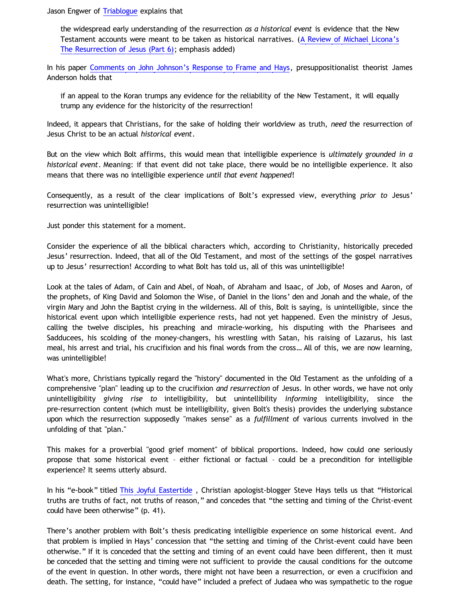Jason Engwer of [Triablogue](http://triablogue.blogspot.com/) explains that

the widespread early understanding of the resurrection *as a historical event* is evidence that the New Testament accounts were meant to be taken as historical narratives. ([A Review of Michael Licona's](http://triablogue.blogspot.com/2010/11/review-of-michael-liconas-resurrection_17.html) [The Resurrection of Jesus \(Part 6\)](http://triablogue.blogspot.com/2010/11/review-of-michael-liconas-resurrection_17.html); emphasis added)

In his paper [Comments on John Johnson's Response to Frame and Hays,](http://www.proginosko.com/docs/comments_on_johnson.html) presuppositionalist theorist James Anderson holds that

if an appeal to the Koran trumps any evidence for the reliability of the New Testament, it will equally trump any evidence for the historicity of the resurrection!

Indeed, it appears that Christians, for the sake of holding their worldview as truth, *need* the resurrection of Jesus Christ to be an actual *historical event*.

But on the view which Bolt affirms, this would mean that intelligible experience is *ultimately grounded in a historical event*. Meaning: if that event did not take place, there would be no intelligible experience. It also means that there was no intelligible experience *until that event happened*!

Consequently, as a result of the clear implications of Bolt's expressed view, everything *prior to* Jesus' resurrection was unintelligible!

Just ponder this statement for a moment.

Consider the experience of all the biblical characters which, according to Christianity, historically preceded Jesus' resurrection. Indeed, that all of the Old Testament, and most of the settings of the gospel narratives up to Jesus' resurrection! According to what Bolt has told us, all of this was unintelligible!

Look at the tales of Adam, of Cain and Abel, of Noah, of Abraham and Isaac, of Job, of Moses and Aaron, of the prophets, of King David and Solomon the Wise, of Daniel in the lions' den and Jonah and the whale, of the virgin Mary and John the Baptist crying in the wilderness. All of this, Bolt is saying, is unintelligible, since the historical event upon which intelligible experience rests, had not yet happened. Even the ministry of Jesus, calling the twelve disciples, his preaching and miracle-working, his disputing with the Pharisees and Sadducees, his scolding of the money-changers, his wrestling with Satan, his raising of Lazarus, his last meal, his arrest and trial, his crucifixion and his final words from the cross… All of this, we are now learning, was unintelligible!

What's more, Christians typically regard the "history" documented in the Old Testament as the unfolding of a comprehensive "plan" leading up to the crucifixion *and resurrection* of Jesus. In other words, we have not only unintelligibility *giving rise to* intelligibility, but unintellibility *informing* intelligibility, since the pre-resurrection content (which must be intelligibility, given Bolt's thesis) provides the underlying substance upon which the resurrection supposedly "makes sense" as a *fulfillment* of various currents involved in the unfolding of that "plan."

This makes for a proverbial "good grief moment" of biblical proportions. Indeed, how could one seriously propose that some historical event – either fictional or factual – could be a precondition for intelligible experience? It seems utterly absurd.

In his "e-book" titled [This Joyful Eastertide](http://www.triapologia.com/hays/ThisJoyfulEastertide.pdf) , Christian apologist-blogger Steve Hays tells us that "Historical truths are truths of fact, not truths of reason," and concedes that "the setting and timing of the Christ-event could have been otherwise" (p. 41).

There's another problem with Bolt's thesis predicating intelligible experience on some historical event. And that problem is implied in Hays' concession that "the setting and timing of the Christ-event could have been otherwise." If it is conceded that the setting and timing of an event could have been different, then it must be conceded that the setting and timing were not sufficient to provide the causal conditions for the outcome of the event in question. In other words, there might not have been a resurrection, or even a crucifixion and death. The setting, for instance, "could have" included a prefect of Judaea who was sympathetic to the rogue